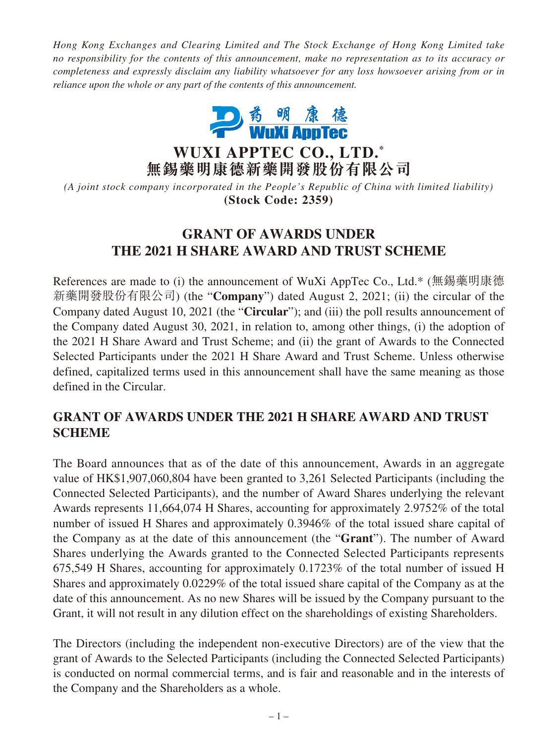*Hong Kong Exchanges and Clearing Limited and The Stock Exchange of Hong Kong Limited take no responsibility for the contents of this announcement, make no representation as to its accuracy or completeness and expressly disclaim any liability whatsoever for any loss howsoever arising from or in reliance upon the whole or any part of the contents of this announcement.*



**WUXI APPTEC CO., LTD. \* 無錫藥明康德新藥開發股份有限公司**

*(A joint stock company incorporated in the People's Republic of China with limited liability)* **(Stock Code: 2359)**

# **GRANT OF AWARDS UNDER THE 2021 H SHARE AWARD AND TRUST SCHEME**

References are made to (i) the announcement of WuXi AppTec Co., Ltd.\* (無錫藥明康德 新藥開發股份有限公司) (the "**Company**") dated August 2, 2021; (ii) the circular of the Company dated August 10, 2021 (the "**Circular**"); and (iii) the poll results announcement of the Company dated August 30, 2021, in relation to, among other things, (i) the adoption of the 2021 H Share Award and Trust Scheme; and (ii) the grant of Awards to the Connected Selected Participants under the 2021 H Share Award and Trust Scheme. Unless otherwise defined, capitalized terms used in this announcement shall have the same meaning as those defined in the Circular.

# **GRANT OF AWARDS UNDER THE 2021 H SHARE AWARD AND TRUST SCHEME**

The Board announces that as of the date of this announcement, Awards in an aggregate value of HK\$1,907,060,804 have been granted to 3,261 Selected Participants (including the Connected Selected Participants), and the number of Award Shares underlying the relevant Awards represents 11,664,074 H Shares, accounting for approximately 2.9752% of the total number of issued H Shares and approximately 0.3946% of the total issued share capital of the Company as at the date of this announcement (the "**Grant**"). The number of Award Shares underlying the Awards granted to the Connected Selected Participants represents 675,549 H Shares, accounting for approximately 0.1723% of the total number of issued H Shares and approximately 0.0229% of the total issued share capital of the Company as at the date of this announcement. As no new Shares will be issued by the Company pursuant to the Grant, it will not result in any dilution effect on the shareholdings of existing Shareholders.

The Directors (including the independent non-executive Directors) are of the view that the grant of Awards to the Selected Participants (including the Connected Selected Participants) is conducted on normal commercial terms, and is fair and reasonable and in the interests of the Company and the Shareholders as a whole.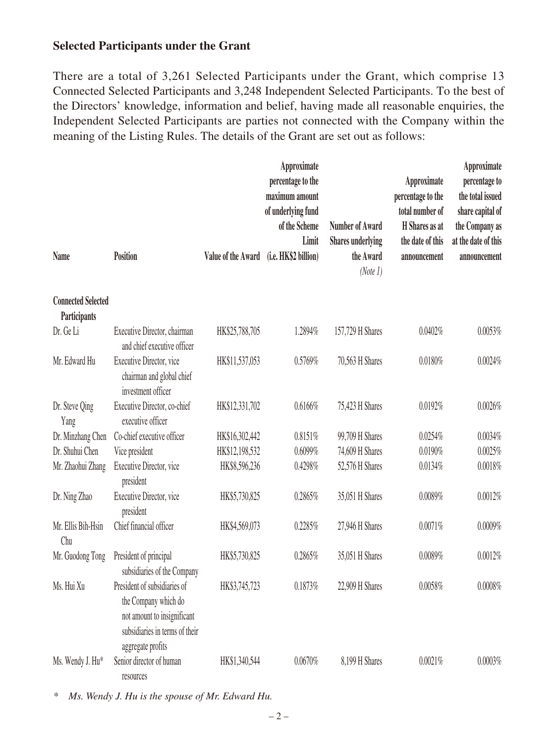# **Selected Participants under the Grant**

There are a total of 3,261 Selected Participants under the Grant, which comprise 13 Connected Selected Participants and 3,248 Independent Selected Participants. To the best of the Directors' knowledge, information and belief, having made all reasonable enquiries, the Independent Selected Participants are parties not connected with the Company within the meaning of the Listing Rules. The details of the Grant are set out as follows:

|                                           |                                                                                                                                            |                    | Approximate<br>percentage to the<br>maximum amount<br>of underlying fund<br>of the Scheme<br>Limit | <b>Number of Award</b><br><b>Shares underlying</b> | Approximate<br>percentage to the<br>total number of<br><b>H</b> Shares as at<br>the date of this | Approximate<br>percentage to<br>the total issued<br>share capital of<br>the Company as<br>at the date of this |
|-------------------------------------------|--------------------------------------------------------------------------------------------------------------------------------------------|--------------------|----------------------------------------------------------------------------------------------------|----------------------------------------------------|--------------------------------------------------------------------------------------------------|---------------------------------------------------------------------------------------------------------------|
| <b>Name</b>                               | <b>Position</b>                                                                                                                            | Value of the Award | (i.e. HK\$2 billion)                                                                               | the Award<br>(Note 1)                              | announcement                                                                                     | announcement                                                                                                  |
| <b>Connected Selected</b><br>Participants |                                                                                                                                            |                    |                                                                                                    |                                                    |                                                                                                  |                                                                                                               |
| Dr. Ge Li                                 | Executive Director, chairman<br>and chief executive officer                                                                                | HK\$25,788,705     | 1.2894%                                                                                            | 157,729 H Shares                                   | 0.0402%                                                                                          | 0.0053%                                                                                                       |
| Mr. Edward Hu                             | Executive Director, vice<br>chairman and global chief<br>investment officer                                                                | HK\$11,537,053     | 0.5769%                                                                                            | 70,563 H Shares                                    | 0.0180%                                                                                          | 0.0024%                                                                                                       |
| Dr. Steve Qing<br>Yang                    | Executive Director, co-chief<br>executive officer                                                                                          | HK\$12,331,702     | 0.6166%                                                                                            | 75,423 H Shares                                    | 0.0192%                                                                                          | 0.0026%                                                                                                       |
| Dr. Minzhang Chen                         | Co-chief executive officer                                                                                                                 | HK\$16,302,442     | 0.8151%                                                                                            | 99,709 H Shares                                    | 0.0254%                                                                                          | 0.0034%                                                                                                       |
| Dr. Shuhui Chen                           | Vice president                                                                                                                             | HK\$12,198,532     | 0.6099%                                                                                            | 74,609 H Shares                                    | 0.0190%                                                                                          | 0.0025%                                                                                                       |
| Mr. Zhaohui Zhang                         | Executive Director, vice<br>president                                                                                                      | HK\$8,596,236      | 0.4298%                                                                                            | 52,576 H Shares                                    | 0.0134%                                                                                          | 0.0018%                                                                                                       |
| Dr. Ning Zhao                             | Executive Director, vice<br>president                                                                                                      | HK\$5,730,825      | 0.2865%                                                                                            | 35,051 H Shares                                    | 0.0089%                                                                                          | 0.0012%                                                                                                       |
| Mr. Ellis Bih-Hsin<br>Chu                 | Chief financial officer                                                                                                                    | HK\$4,569,073      | 0.2285%                                                                                            | 27,946 H Shares                                    | 0.0071%                                                                                          | 0.0009%                                                                                                       |
| Mr. Guodong Tong                          | President of principal<br>subsidiaries of the Company                                                                                      | HK\$5,730,825      | 0.2865%                                                                                            | 35,051 H Shares                                    | 0.0089%                                                                                          | 0.0012%                                                                                                       |
| Ms. Hui Xu                                | President of subsidiaries of<br>the Company which do<br>not amount to insignificant<br>subsidiaries in terms of their<br>aggregate profits | HK\$3,745,723      | 0.1873%                                                                                            | 22,909 H Shares                                    | 0.0058%                                                                                          | 0.0008%                                                                                                       |
| Ms. Wendy J. Hu*                          | Senior director of human<br>resources                                                                                                      | HK\$1,340,544      | 0.0670%                                                                                            | 8,199 H Shares                                     | 0.0021%                                                                                          | 0.0003%                                                                                                       |

*\* Ms. Wendy J. Hu is the spouse of Mr. Edward Hu.*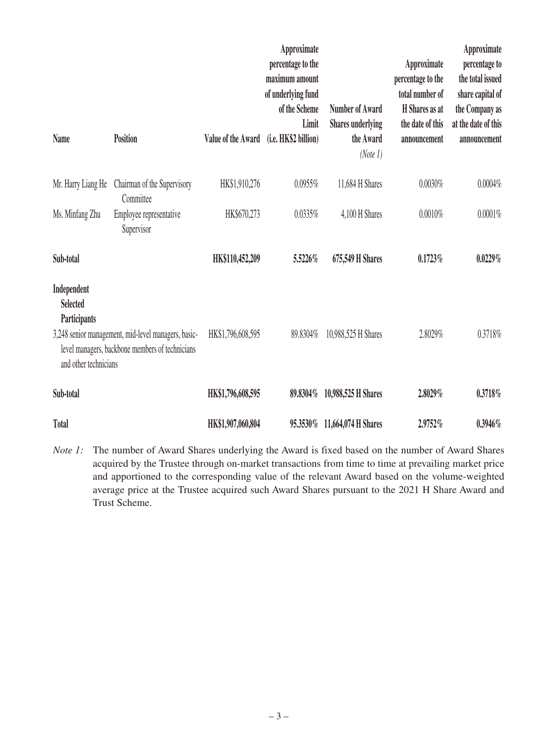| Name                                                                                                                                                                              | Position                                 | Value of the Award | Approximate<br>percentage to the<br>maximum amount<br>of underlying fund<br>of the Scheme<br>Limit<br>(i.e. HK\$2 billion) | <b>Number of Award</b><br><b>Shares underlying</b><br>the Award<br>(Note 1) | Approximate<br>percentage to the<br>total number of<br><b>H</b> Shares as at<br>the date of this<br>announcement | Approximate<br>percentage to<br>the total issued<br>share capital of<br>the Company as<br>at the date of this<br>announcement |
|-----------------------------------------------------------------------------------------------------------------------------------------------------------------------------------|------------------------------------------|--------------------|----------------------------------------------------------------------------------------------------------------------------|-----------------------------------------------------------------------------|------------------------------------------------------------------------------------------------------------------|-------------------------------------------------------------------------------------------------------------------------------|
| Mr. Harry Liang He                                                                                                                                                                | Chairman of the Supervisory<br>Committee | HK\$1,910,276      | 0.0955%                                                                                                                    | 11,684 H Shares                                                             | 0.0030%                                                                                                          | 0.0004%                                                                                                                       |
| Ms. Minfang Zhu                                                                                                                                                                   | Employee representative<br>Supervisor    | HK\$670,273        | 0.0335%                                                                                                                    | 4,100 H Shares                                                              | 0.0010%                                                                                                          | 0.0001%                                                                                                                       |
| Sub-total                                                                                                                                                                         |                                          | HK\$110,452,209    | 5.5226%                                                                                                                    | 675,549 H Shares                                                            | 0.1723%                                                                                                          | 0.0229%                                                                                                                       |
| Independent<br><b>Selected</b><br>Participants<br>3,248 senior management, mid-level managers, basic-<br>level managers, backbone members of technicians<br>and other technicians |                                          | HK\$1,796,608,595  | 89.8304%                                                                                                                   | 10,988,525 H Shares                                                         | 2.8029%                                                                                                          | 0.3718%                                                                                                                       |
| Sub-total                                                                                                                                                                         |                                          | HK\$1,796,608,595  | 89.8304%                                                                                                                   | 10,988,525 H Shares                                                         | 2.8029%                                                                                                          | 0.3718%                                                                                                                       |
| <b>Total</b>                                                                                                                                                                      |                                          | HK\$1,907,060,804  | 95.3530%                                                                                                                   | 11,664,074 H Shares                                                         | 2.9752%                                                                                                          | $0.3946\%$                                                                                                                    |

*Note 1:* The number of Award Shares underlying the Award is fixed based on the number of Award Shares acquired by the Trustee through on-market transactions from time to time at prevailing market price and apportioned to the corresponding value of the relevant Award based on the volume-weighted average price at the Trustee acquired such Award Shares pursuant to the 2021 H Share Award and Trust Scheme.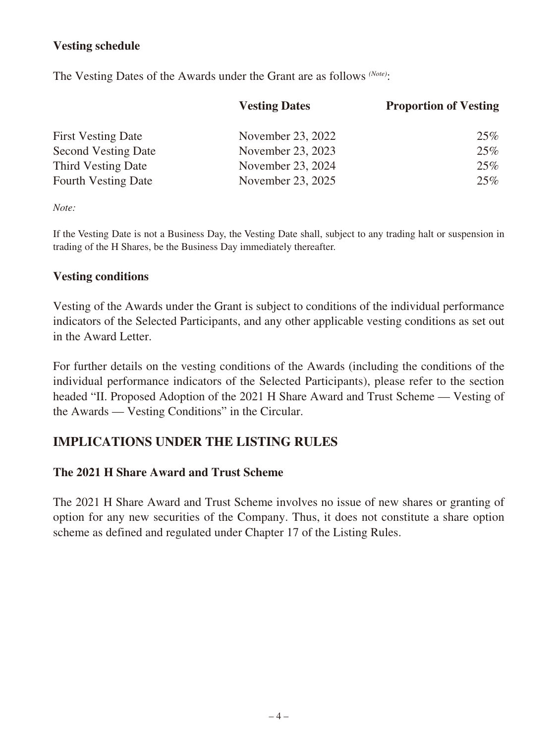# **Vesting schedule**

The Vesting Dates of the Awards under the Grant are as follows *(Note)*:

| <b>Vesting Dates</b> | <b>Proportion of Vesting</b> |  |
|----------------------|------------------------------|--|
| November 23, 2022    | 25%                          |  |
| November 23, 2023    | 25%                          |  |
| November 23, 2024    | 25%                          |  |
| November 23, 2025    | 25%                          |  |
|                      |                              |  |

*Note:*

If the Vesting Date is not a Business Day, the Vesting Date shall, subject to any trading halt or suspension in trading of the H Shares, be the Business Day immediately thereafter.

#### **Vesting conditions**

Vesting of the Awards under the Grant is subject to conditions of the individual performance indicators of the Selected Participants, and any other applicable vesting conditions as set out in the Award Letter.

For further details on the vesting conditions of the Awards (including the conditions of the individual performance indicators of the Selected Participants), please refer to the section headed "II. Proposed Adoption of the 2021 H Share Award and Trust Scheme — Vesting of the Awards — Vesting Conditions" in the Circular.

# **IMPLICATIONS UNDER THE LISTING RULES**

### **The 2021 H Share Award and Trust Scheme**

The 2021 H Share Award and Trust Scheme involves no issue of new shares or granting of option for any new securities of the Company. Thus, it does not constitute a share option scheme as defined and regulated under Chapter 17 of the Listing Rules.